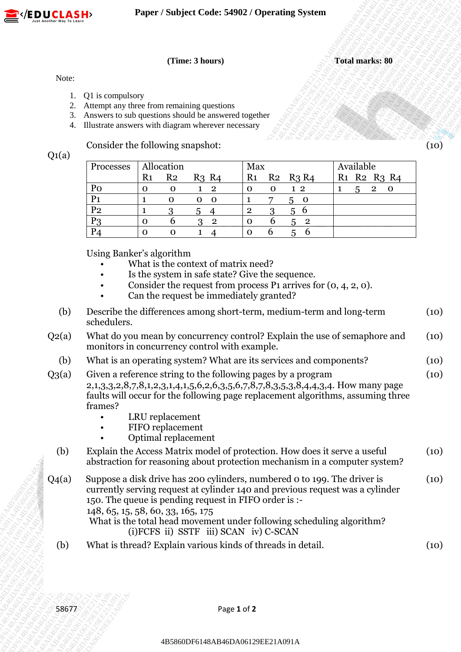

## **(Time: 3 hours) Total marks: 80**

### Note:

- 1. Q1 is compulsory
- 2. Attempt any three from remaining questions
- 3. Answers to sub questions should be answered together
- 4. Illustrate answers with diagram wherever necessary

| Processes      |                | Allocation     |                               | Max            |   |                   | Available                                                   |
|----------------|----------------|----------------|-------------------------------|----------------|---|-------------------|-------------------------------------------------------------|
|                | R <sub>1</sub> | R <sub>2</sub> | R <sub>3</sub> R <sub>4</sub> | R <sub>1</sub> |   | $R_2$ $R_3$ $R_4$ | R <sub>1</sub> R <sub>2</sub> R <sub>3</sub> R <sub>4</sub> |
| Po             |                |                | $\overline{2}$                | O              | O | $1\,2$            | $\overline{2}$<br>5                                         |
| P <sub>1</sub> |                |                | - 0<br>O                      |                |   | O<br>$\mathbf{b}$ |                                                             |
| P <sub>2</sub> |                |                | 5                             | റ              |   |                   |                                                             |
| P <sub>3</sub> |                |                | 2<br>3                        | $\Omega$       | n | $\overline{2}$    |                                                             |
| $P_4$          |                |                |                               | $\Omega$       |   |                   |                                                             |

- What is the context of matrix need?
- Is the system in safe state? Give the sequence.
- Consider the request from process P1 arrives for  $(0, 4, 2, 0)$ .
- Can the request be immediately granted?

| Note:<br>Q1 is compulsory<br>Attempt any three from remaining questions<br>2.<br>Answers to sub questions should be answered together<br>3.<br>Illustrate answers with diagram wherever necessary<br>4.<br>Consider the following snapshot:<br>Q1(a)<br>Available<br>Allocation<br>Max<br>Processes<br>R <sub>1</sub><br>R <sub>2</sub><br>R <sub>1</sub><br>$R_3 R_4$<br>R <sub>2</sub><br>R <sub>2</sub> R <sub>3</sub> R <sub>4</sub><br>$R_3$ $R_4$<br>R1<br>Po<br>$\mathbf{2}$<br>$1\,2$<br>5<br>$\mathbf{O}$<br>$\mathbf 0$<br>0<br>$\mathbf 0$<br>$\mathbf{1}$<br>P <sub>1</sub><br>5<br>$\mathbf{1}$<br>$\mathbf{O}$<br>$\mathbf{O}$<br>$\mathbf 0$<br>$\overline{\mathbf{0}}$<br>P <sub>2</sub><br>56<br>3<br>$\overline{\mathbf{c}}$<br>3<br>1<br>5<br>4<br>6<br>P <sub>3</sub><br>6<br>$\mathbf O$<br>3<br>$\mathbf{2}$<br>$\mathbf 0$<br>$\overline{\mathbf{2}}$<br>5<br>6<br>P <sub>4</sub><br>6<br>$5^{\circ}$<br>$\mathbf{O}$<br>$\mathbf 0$<br>$\mathbf 0$<br>$\mathbf{1}$<br>$\boldsymbol{\Delta}$<br>Using Banker's algorithm<br>What is the context of matrix need?<br>Is the system in safe state? Give the sequence.<br>Consider the request from process $P_1$ arrives for $(0, 4, 2, 0)$ .<br>Can the request be immediately granted?<br>$\bullet$<br>Describe the differences among short-term, medium-term and long-term<br>(b)<br>schedulers.<br>monitors in concurrency control with example.<br>What is an operating system? What are its services and components?<br>(b)<br>Given a reference string to the following pages by a program<br>2,1,3,3,2,8,7,8,1,2,3,1,4,1,5,6,2,6,3,5,6,7,8,7,8,3,5,3,8,4,4,3,4. How many page<br>faults will occur for the following page replacement algorithms, assuming three<br>frames?<br>LRU replacement<br>FIFO replacement<br>Optimal replacement<br>(b)<br>Explain the Access Matrix model of protection. How does it serve a useful<br>abstraction for reasoning about protection mechanism in a computer system?<br>Suppose a disk drive has 200 cylinders, numbered 0 to 199. The driver is<br>currently serving request at cylinder 140 and previous request was a cylinder<br>150. The queue is pending request in FIFO order is :-<br>148, 65, 15, 58, 60, 33, 165, 175<br>What is the total head movement under following scheduling algorithm?<br>(i) FCFS ii) SSTF iii) SCAN iv) C-SCAN<br>What is thread? Explain various kinds of threads in detail. |          |                                                                           |  | (Time: 3 hours) |             |  |  | <b>Total marks: 80</b> |
|--------------------------------------------------------------------------------------------------------------------------------------------------------------------------------------------------------------------------------------------------------------------------------------------------------------------------------------------------------------------------------------------------------------------------------------------------------------------------------------------------------------------------------------------------------------------------------------------------------------------------------------------------------------------------------------------------------------------------------------------------------------------------------------------------------------------------------------------------------------------------------------------------------------------------------------------------------------------------------------------------------------------------------------------------------------------------------------------------------------------------------------------------------------------------------------------------------------------------------------------------------------------------------------------------------------------------------------------------------------------------------------------------------------------------------------------------------------------------------------------------------------------------------------------------------------------------------------------------------------------------------------------------------------------------------------------------------------------------------------------------------------------------------------------------------------------------------------------------------------------------------------------------------------------------------------------------------------------------------------------------------------------------------------------------------------------------------------------------------------------------------------------------------------------------------------------------------------------------------------------------------------------------------------------------------------------------------------------------------------------------------------------------------------------------------------|----------|---------------------------------------------------------------------------|--|-----------------|-------------|--|--|------------------------|
|                                                                                                                                                                                                                                                                                                                                                                                                                                                                                                                                                                                                                                                                                                                                                                                                                                                                                                                                                                                                                                                                                                                                                                                                                                                                                                                                                                                                                                                                                                                                                                                                                                                                                                                                                                                                                                                                                                                                                                                                                                                                                                                                                                                                                                                                                                                                                                                                                                      |          |                                                                           |  |                 |             |  |  |                        |
|                                                                                                                                                                                                                                                                                                                                                                                                                                                                                                                                                                                                                                                                                                                                                                                                                                                                                                                                                                                                                                                                                                                                                                                                                                                                                                                                                                                                                                                                                                                                                                                                                                                                                                                                                                                                                                                                                                                                                                                                                                                                                                                                                                                                                                                                                                                                                                                                                                      |          |                                                                           |  |                 |             |  |  |                        |
|                                                                                                                                                                                                                                                                                                                                                                                                                                                                                                                                                                                                                                                                                                                                                                                                                                                                                                                                                                                                                                                                                                                                                                                                                                                                                                                                                                                                                                                                                                                                                                                                                                                                                                                                                                                                                                                                                                                                                                                                                                                                                                                                                                                                                                                                                                                                                                                                                                      |          |                                                                           |  |                 |             |  |  |                        |
|                                                                                                                                                                                                                                                                                                                                                                                                                                                                                                                                                                                                                                                                                                                                                                                                                                                                                                                                                                                                                                                                                                                                                                                                                                                                                                                                                                                                                                                                                                                                                                                                                                                                                                                                                                                                                                                                                                                                                                                                                                                                                                                                                                                                                                                                                                                                                                                                                                      |          |                                                                           |  |                 |             |  |  |                        |
|                                                                                                                                                                                                                                                                                                                                                                                                                                                                                                                                                                                                                                                                                                                                                                                                                                                                                                                                                                                                                                                                                                                                                                                                                                                                                                                                                                                                                                                                                                                                                                                                                                                                                                                                                                                                                                                                                                                                                                                                                                                                                                                                                                                                                                                                                                                                                                                                                                      |          |                                                                           |  |                 |             |  |  | $2\quad 0$             |
|                                                                                                                                                                                                                                                                                                                                                                                                                                                                                                                                                                                                                                                                                                                                                                                                                                                                                                                                                                                                                                                                                                                                                                                                                                                                                                                                                                                                                                                                                                                                                                                                                                                                                                                                                                                                                                                                                                                                                                                                                                                                                                                                                                                                                                                                                                                                                                                                                                      |          |                                                                           |  |                 |             |  |  |                        |
|                                                                                                                                                                                                                                                                                                                                                                                                                                                                                                                                                                                                                                                                                                                                                                                                                                                                                                                                                                                                                                                                                                                                                                                                                                                                                                                                                                                                                                                                                                                                                                                                                                                                                                                                                                                                                                                                                                                                                                                                                                                                                                                                                                                                                                                                                                                                                                                                                                      |          |                                                                           |  |                 |             |  |  |                        |
|                                                                                                                                                                                                                                                                                                                                                                                                                                                                                                                                                                                                                                                                                                                                                                                                                                                                                                                                                                                                                                                                                                                                                                                                                                                                                                                                                                                                                                                                                                                                                                                                                                                                                                                                                                                                                                                                                                                                                                                                                                                                                                                                                                                                                                                                                                                                                                                                                                      |          |                                                                           |  |                 |             |  |  |                        |
|                                                                                                                                                                                                                                                                                                                                                                                                                                                                                                                                                                                                                                                                                                                                                                                                                                                                                                                                                                                                                                                                                                                                                                                                                                                                                                                                                                                                                                                                                                                                                                                                                                                                                                                                                                                                                                                                                                                                                                                                                                                                                                                                                                                                                                                                                                                                                                                                                                      |          |                                                                           |  |                 |             |  |  |                        |
|                                                                                                                                                                                                                                                                                                                                                                                                                                                                                                                                                                                                                                                                                                                                                                                                                                                                                                                                                                                                                                                                                                                                                                                                                                                                                                                                                                                                                                                                                                                                                                                                                                                                                                                                                                                                                                                                                                                                                                                                                                                                                                                                                                                                                                                                                                                                                                                                                                      |          |                                                                           |  |                 |             |  |  |                        |
|                                                                                                                                                                                                                                                                                                                                                                                                                                                                                                                                                                                                                                                                                                                                                                                                                                                                                                                                                                                                                                                                                                                                                                                                                                                                                                                                                                                                                                                                                                                                                                                                                                                                                                                                                                                                                                                                                                                                                                                                                                                                                                                                                                                                                                                                                                                                                                                                                                      | $Q_2(a)$ | What do you mean by concurrency control? Explain the use of semaphore and |  |                 |             |  |  |                        |
|                                                                                                                                                                                                                                                                                                                                                                                                                                                                                                                                                                                                                                                                                                                                                                                                                                                                                                                                                                                                                                                                                                                                                                                                                                                                                                                                                                                                                                                                                                                                                                                                                                                                                                                                                                                                                                                                                                                                                                                                                                                                                                                                                                                                                                                                                                                                                                                                                                      |          |                                                                           |  |                 |             |  |  |                        |
|                                                                                                                                                                                                                                                                                                                                                                                                                                                                                                                                                                                                                                                                                                                                                                                                                                                                                                                                                                                                                                                                                                                                                                                                                                                                                                                                                                                                                                                                                                                                                                                                                                                                                                                                                                                                                                                                                                                                                                                                                                                                                                                                                                                                                                                                                                                                                                                                                                      | $Q_3(a)$ |                                                                           |  |                 |             |  |  |                        |
|                                                                                                                                                                                                                                                                                                                                                                                                                                                                                                                                                                                                                                                                                                                                                                                                                                                                                                                                                                                                                                                                                                                                                                                                                                                                                                                                                                                                                                                                                                                                                                                                                                                                                                                                                                                                                                                                                                                                                                                                                                                                                                                                                                                                                                                                                                                                                                                                                                      |          |                                                                           |  |                 |             |  |  |                        |
|                                                                                                                                                                                                                                                                                                                                                                                                                                                                                                                                                                                                                                                                                                                                                                                                                                                                                                                                                                                                                                                                                                                                                                                                                                                                                                                                                                                                                                                                                                                                                                                                                                                                                                                                                                                                                                                                                                                                                                                                                                                                                                                                                                                                                                                                                                                                                                                                                                      |          |                                                                           |  |                 |             |  |  |                        |
|                                                                                                                                                                                                                                                                                                                                                                                                                                                                                                                                                                                                                                                                                                                                                                                                                                                                                                                                                                                                                                                                                                                                                                                                                                                                                                                                                                                                                                                                                                                                                                                                                                                                                                                                                                                                                                                                                                                                                                                                                                                                                                                                                                                                                                                                                                                                                                                                                                      | $Q_4(a)$ |                                                                           |  |                 |             |  |  |                        |
|                                                                                                                                                                                                                                                                                                                                                                                                                                                                                                                                                                                                                                                                                                                                                                                                                                                                                                                                                                                                                                                                                                                                                                                                                                                                                                                                                                                                                                                                                                                                                                                                                                                                                                                                                                                                                                                                                                                                                                                                                                                                                                                                                                                                                                                                                                                                                                                                                                      | (b)      |                                                                           |  |                 |             |  |  |                        |
|                                                                                                                                                                                                                                                                                                                                                                                                                                                                                                                                                                                                                                                                                                                                                                                                                                                                                                                                                                                                                                                                                                                                                                                                                                                                                                                                                                                                                                                                                                                                                                                                                                                                                                                                                                                                                                                                                                                                                                                                                                                                                                                                                                                                                                                                                                                                                                                                                                      |          |                                                                           |  |                 | Page 1 of 2 |  |  |                        |